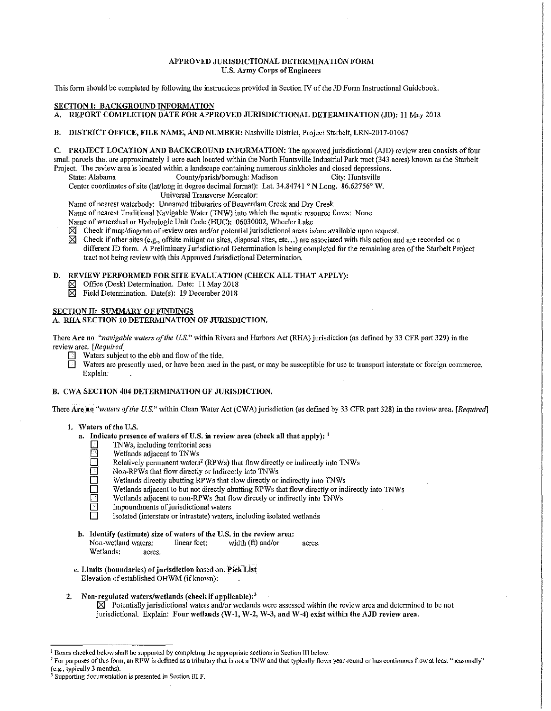#### APPROVED .JURISDICTIONAL DETERMINATION FORM U.S. Army Corps of Engineers

This form should be completed by following the instructions provided in Section IV of the JD Form Instructional Guidebook.

# SECTION I: BACKGROUND INFORMATION

A. REPORT COMPLETION DATE FOR APPROVED JURISDICTIONAL DETERMINATION (JD): 11May2018

#### B. DISTRICT OFFICE, FILE NAME, AND NUMBER: Nashville District, Project Starbelt, LRN-2017-01067

C. PROJECT LOCATION AND BACKGROUND INFORMATION: The approved jurisdictional (AJD) review area consists of four small parcels that are approximately 1 acre each located within the North Huntsville Industrial Park tract (343 acres) known as the Starbelt Project. The review area is located within a landscape containing numerous sinkholes and closed depressions.<br>State: Alabama County/parish/borough: Madison City: Huntsville

County/parish/borough: Madison

Center coordinates of site (lat/long in degree decimal format): Lat. 34.84741 ° N Long. 86.62756° W. Universal Transverse Mercator:

Name of nearest waterbody: Unnamed tributaries of Beaverdam Creek and Dry Creek

Name of nearest Traditional Navigable Water (TNW) into which the aquatic resource flows: None

Name of watershed or Hydrologic Unit Code (HUC): 06030002, Wheeler Lake <br>  $\boxtimes$  Check if man/diagram of review area and/or notential jurisdictional areas is

 $\boxtimes$  Check if map/diagram of review area and/or potential jurisdictional areas is/are available upon request.<br>  $\boxtimes$  Check if other sites (e.g., offsite mitigation sites, disposal sites, etc...) are associated with this

Check if other sites (e.g., offsite mitigation sites, disposal sites, etc...) are associated with this action and are recorded on a different JD form. A Preliminary Jurisdictional Determination is being completed for the remaining area of the Starbelt Project tract not being review with this Approved Jurisdictional Determination.

# D. REVIEW PERFORMED FOR SITE EVALUATION (CHECK ALL THAT APPLY):

- $\boxtimes$  Office (Desk) Determination. Date: 11 May 2018<br>  $\boxtimes$  Field Determination. Date(s): 19 December 2018
- Field Determination. Date(s): 19 December 2018

### SECTION II: SUMMARY OF FINDINGS

### A. RHA SECTION 10 DETERM!NA TION OF JURISDICTION.

There Are no *"navigable 1vaters of the U.S."* within Rivers and Harbors Act (RHA) jurisdiction (as defined by 33 CFR part 329) in the review area. *[Required]* 

Waters subject to the ebb and flow of the tide.

Waters are presently used, or have been used in the past, or may be susceptible for use to transport interstate or foreign commerce. Explain:

# B. CWA SECTION 404 DETERMINATION OF JURISDICTION.

There Are no "*waters of the U.S."* within Clean Water Act (CWA) jurisdiction (as defined by 33 CFR part 328) in the review area. *[Required]* 

### 1. Waters of the U.S.

- a. Indicate presence of waters of U.S. in review area (check all that apply):  $<sup>1</sup>$ </sup>
	- TNWs, including territorial seas
	- Wetlands adjacent to TNWs
	- Relatively permanent waters<sup>2</sup> (RPWs) that flow directly or indirectly into TNWs
	- Non-RPWs that flow directly or indirectly into TNWs
	- Wetlands directly abutting RPWs that flow directly or indirectly into TNWs
	- Wetlands adjacent to but not directly abutting RPWs that flow directly or indirectly into TNWs
	- Wetlands adjacent to non-RPWs that flow directly or indirectly into TNWs
	- Impoundments of jurisdictional waters
	- Isolated (interstate or intrastate) waters, including isolated wetlands
- b. Identify (estimate) size of waters of the U.S. in the review area:

Non-wetland waters: linear feet: width (ft) and/or acres. Wetlands: acres.

- c. Limits (boundaries) of jurisdiction based on: Pick List Elevation of established OHWM (if known):
- 2. Non-regulated waters/wetlands (check if applicable): $3$  $\boxtimes$  Potentially jurisdictional waters and/or wetlands were assessed within the review area and determined to be not jurisdictional. Explain: Four wetlands (W-1, W-2, W-3, and W-4) exist within the AJD review area.

<sup>&</sup>lt;sup>1</sup> Boxes checked below shall be supported by completing the appropriate sections in Section III below.<br><sup>2</sup> For purposes of this form, an RPW is defined as a tributary that is not a TNW and that typically flows year-round

Supporting documentation is presented in Section III.F.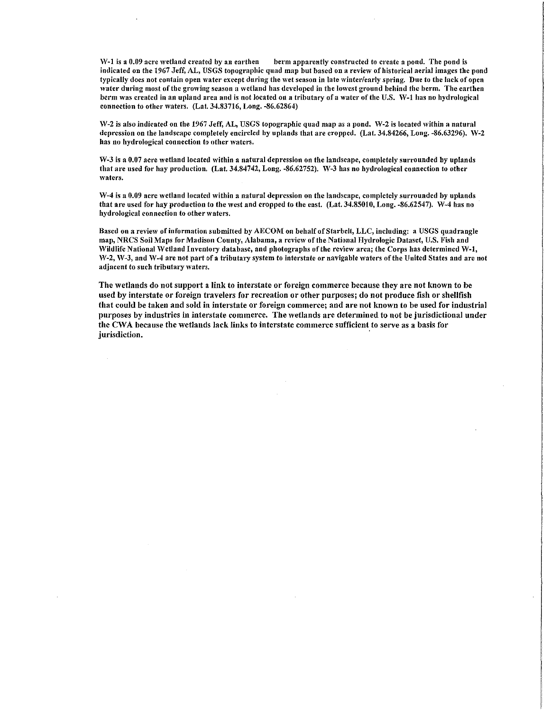$W-1$  is a 0.09 acre wetland created by an earthen berm apparently constructed to create a pond. The pond is indicated on the 1967 Jeff, AL, USGS topographic quad map but based on a review of historical aerial images the pond typically does not contain open water except during the wet season in late winter/early spring. Due to the lack of open water during most of the growing season a wetland has developed in the lowest ground behind the berm. The earthen berm was created in an upland area and is not located on a tributary of a water of the U.S. W-1 has no hydrological connection to other waters. (Lat. 34.83716, Long. -86.62864)

W-2 is also indicated on the 1967 Jeff, AL, USGS topographic quad map as a pond. W-2 is located within a natural depression on the landscape completely encircled by uplands that are cropped. (Lat. 34.84266, Long. -86.63296). W-2 has no hydrological connection to other waters.

W-3 is a 0.07 acre wetland located within a natural depression on the landscape, completely surrounded by uplands that are used for hay production. (Lat. 34.84742, Long. -86.62752). W-3 has no hydrological connection to other 'vatcrs.

W-4 is a 0.09 acre wetland located within a natural depression on the landscape, completely surrounded by uplands that are used for hay production to the west and cropped to the east. (Lat. 34.85010, Long. -86.62547). W-4 has no hydrological connection to other waters.

Based on a review of information submitted by AECOM on behalf of Starbelt, LLC, including: a USGS quadrangle map, NRCS Soil Maps for Madison County, Alabama, a review of the National Hydrologic Dataset, U.S. Fish and Wildlife National Wetland Inventory database, and photographs of the review area; the Corps has determined W-1, W-2, W-3, and W-4 are not part of a tributary system to interstate or navigable waters of the United States and are not adjacent to such tributary waters.

The wetlands do not support a link to interstate or foreign commerce because they are not known to be used by interstate or foreign travelers for recreation or other purposes; do not produce fish or shellfish that could be taken and sold in interstate or foreign commerce; and are not known to be used for industrial purposes by industries in interstate commerce. The wetlands are determined to not be jurisdictional under the CWA because the wetlands lack links to interstate commerce sufficient to serve as a basis for jurisdiction.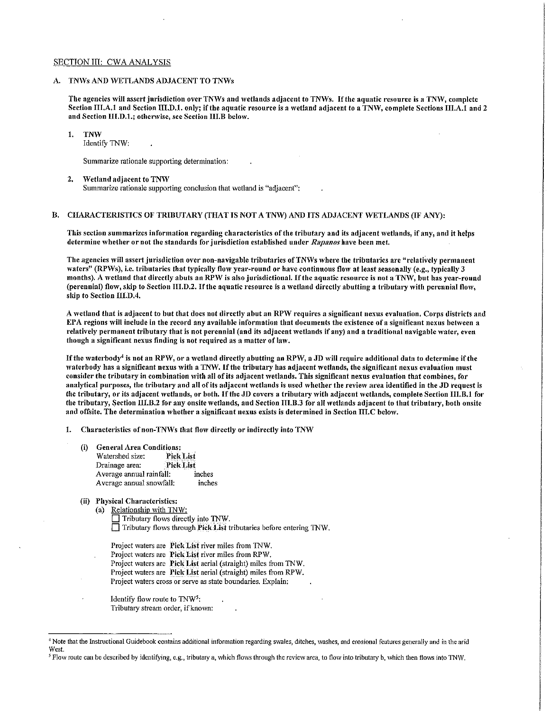#### SECTION III: CWA ANALYSIS

#### A. TNWs AND WETLANDS ADJACENT TO TNWs

The agencies will assert jurisdiction over TNWs and wetlands adjacent to TNWs. If the aquatic resource is a TNW, complete Section III.A.1 and Section III.D.1. only; if the aquatic resource is a wetland adjacent to a TNW, complete Sections III.A.1 and 2 and Section III.D.1.; otherwise, see Section III.B below.

## I. TNW

Identify TNW:

Summarize rationale supporting determination:

### 2. Wetland adjacent to TNW

Summarize rationale supporting conclusion that wetland is "adjacent":

# B. CHARACTERISTICS OF TRIBUTARY (THAT IS NOT A TNW) AND ITS ADJACENT WETLANDS {IF ANY):

This section summarizes information regarding characteristics of the tributary and its adjacent wetlands, if any, and it helps determine whether or not the standards for jurisdiction established under *Rapanos* have been met.

The agencies will assert jurisdiction over non-navigable tributaries of TNWs where the tributaries are "relatively permanent waters" (RPWs), i.e. tributaries that typically flow year-round or have continuous flow at least seasonally (e.g., typically 3 months). A wetland that directly abuts an RPW is also jurisdictional. If the aquatic resource is not a TNW, but has year-round (perennial) flow, skip to Section III.D.2. If the aquatic resource is a wetland directly abutting a tributary with perennial flow, skip to Section III.D.4.

A wetland that is adjacent to but that does not directly abut an RPW requires a significant nexus evaluation. Corps districts and EPA regions will include in the record any available information that documents the existence of a significant nexus between a relatively permanent tributary that is not perennial (and its adjacent wetlands if any) and a traditional navigable water, even though a significant nexus finding is not required as a matter of law.

If the waterbody<sup>4</sup> is not an RPW, or a wetland directly abutting an RPW, a JD will require additional data to determine if the waterbody has a significant nexus with a TNW. If the tributary has adjacent wetlands, the significant nexus evaluation must consider the tributary in combination with all of its adjacent wetlands. This significant nexus evaluation that combines, for analytical purposes, the tributary and all of its adjacent wetlands is used whether the review area identified in the JD request is the tributary, or its adjacent wetlands, or both. If the JD covers a tributary with adjacent wetlands, complete Section III.B.1 for the tributary, Section III.B.2 for any onsite wetlands, and Section III.B.3 for all wetlands adjacent to that tributary, both onsite and offsite. The determination whether a significant nexus exists is determined in Section  $\Pi\mathbf{I}.\mathbf{C}$  below.

1. Characteristics of non-TNWs that flow directly or indirectly into TNW

- (i) General Area Conditions:
	- Watershed size: Drainage area: Pick List Average annual rainfall: inches Average annual snowfall: inches
- (ii) Physical Characteristics:
	- (a) Relationship with TNW: Tributary flows directly into TNW. □ Tributary flows through Pick List tributaries before entering TNW.

Project waters are Pick List river miles from TNW. Project \vaters are Pick List river miles from RPW. Project waters are Pick List aerial (straight) miles from TNW. Project waters are Pick List aerial (straight) miles from RPW. Project waters cross or serve as state boundaries. Explain:

Identify flow route to  $TNW<sup>5</sup>$ : Tributary stream order, if known:

<sup>&</sup>lt;sup>4</sup> Note that the Instructional Guidebook contains additional information regarding swales, ditches, washes, and erosional features generally and in the arid West.

<sup>&</sup>lt;sup>5</sup> Flow route can be described by identifying, e.g., tributary a, which flows through the review area, to flow into tributary b, which then flows into TNW.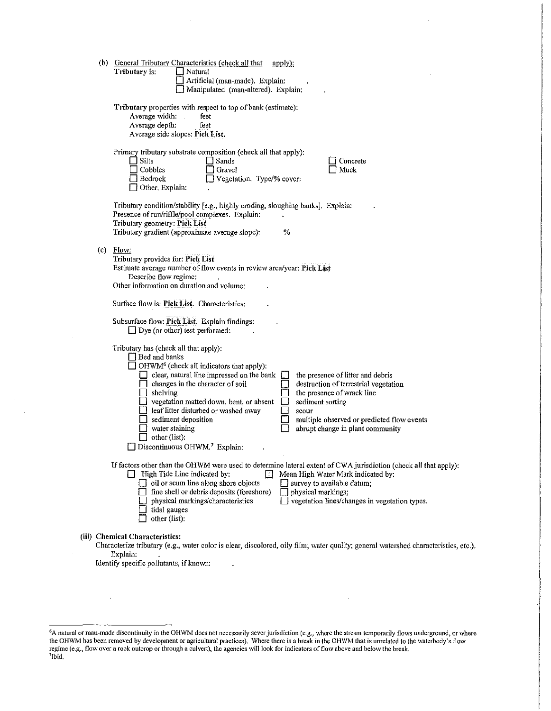|  | (b) General Tributary Characteristics (check all that<br>$app(y)$ :<br>Tributary is:<br>∣ Natural<br>Artificial (man-made). Explain:<br>Manipulated (man-altered). Explain:                                                                                                                                                                                                                                                                                                                                                                                                                                                                                                  |
|--|------------------------------------------------------------------------------------------------------------------------------------------------------------------------------------------------------------------------------------------------------------------------------------------------------------------------------------------------------------------------------------------------------------------------------------------------------------------------------------------------------------------------------------------------------------------------------------------------------------------------------------------------------------------------------|
|  | Tributary properties with respect to top of bank (estimate):<br>Average width:<br>feer<br>Average depth:<br>feet<br>Average side slopes: Pick List.                                                                                                                                                                                                                                                                                                                                                                                                                                                                                                                          |
|  | Primary tributary substrate composition (check all that apply):<br>∃ Silts<br>∃ Sands<br>Concrete<br>Cobbles<br>Muck<br>Gravel<br>$\exists$ Bedrock<br>Vegetation. Type/% cover:<br>Other. Explain:                                                                                                                                                                                                                                                                                                                                                                                                                                                                          |
|  | Tributary condition/stability [e.g., highly eroding, sloughing banks]. Explain:<br>Presence of run/riffle/pool complexes. Explain:<br>Tributary geometry: Pick List<br>Tributary gradient (approximate average slope):<br>℅                                                                                                                                                                                                                                                                                                                                                                                                                                                  |
|  | $(c)$ Flow:<br>Tributary provides for: Pick List<br>Estimate average number of flow events in review area/year: Pick List<br>Describe flow regime:<br>Other information on duration and volume:                                                                                                                                                                                                                                                                                                                                                                                                                                                                              |
|  | Surface flow is: Pick List. Characteristics:                                                                                                                                                                                                                                                                                                                                                                                                                                                                                                                                                                                                                                 |
|  | Subsurface flow: Pick List. Explain findings:<br>$\Box$ Dye (or other) test performed:                                                                                                                                                                                                                                                                                                                                                                                                                                                                                                                                                                                       |
|  | Tributary has (check all that apply):<br>$\Box$ Bed and banks<br>$\Box$ OHWM <sup>6</sup> (check all indicators that apply):<br>clear, natural line impressed on the bank<br>the presence of litter and debris<br>$\Box$ changes in the character of soil<br>destruction of terrestrial vegetation<br>shelving<br>the presence of wrack line<br>$\mathbf{I}$<br>vegetation matted down, bent, or absent<br>sediment sorting<br>$\Box$ leaf litter disturbed or washed away<br>scour<br>sediment deposition<br>multiple observed or predicted flow events<br>water staining<br>abrupt change in plant community<br>other (list):<br>Discontinuous OHWM. <sup>7</sup> Explain: |
|  | If factors other than the OHWM were used to determine lateral extent of CWA jurisdiction (check all that apply):<br>$\Box$ High Tide Line indicated by:<br>ĿЩ<br>Mean High Water Mark indicated by:<br>$\Box$ oil or scum line along shore objects<br>$\Box$ survey to available datum;<br>fine shell or debris deposits (foreshore)<br>$\Box$ physical markings;<br>$\Box$ vegetation lines/changes in vegetation types.<br>physical markings/characteristics<br>tidal gauges<br>other (list):                                                                                                                                                                              |
|  | (iii) Chemical Characteristics:<br>Characterize tributary (e.g., water color is clear, discolored, oily film; water quality; general watershed characteristics, etc.).<br>Explain:<br>Identify specific pollutants, if known:                                                                                                                                                                                                                                                                                                                                                                                                                                                |

 $\ddot{\phantom{a}}$ 

 $\bar{z}$ 

 $\bar{z}$ 

 $\sim$ 

<sup>&</sup>lt;sup>6</sup>A natural or man-made discontinuity in the OHWM does not necessarily sever jurisdiction (e.g., where the stream temporarily flows underground, or where the OHWM has been removed by development or agricultural practices). Where there is a break in the OHWM that is unrelated to the waterbody's flow regime (e.g., flow over a rock outcrop or through a culvert), the agencies will look for indicators of flow above and below the break.<br><sup>7</sup>Ibid.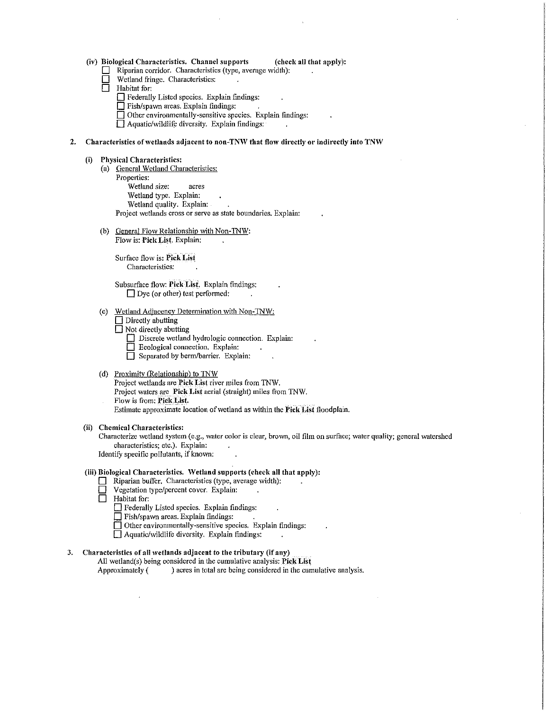#### (iv) Biological Characteristics. Channel supports (check all that apply):

- $\widetilde{R}$ iparian corridor. Characteristics (type, average width):
- Wetland fringe. Characteristics:<br>
Habitat for:
- Habitat for:
	- D Federally Listed species. Explain findings:
	- $\Box$  Fish/spawn areas. Explain findings:
	- Other environmentally-sensitive species. Explain findings:
	- $\overline{\Box}$  Aquatic/wildlife diversity. Explain findings;

### 2. Characteristics of wetlands adjacent to non-TNW that flow directly or indirectly into TNW

# (i) Physical Characteristics:

- (a) General Wetland Characteristics: Properties:
	- Wetland size: acres Wetland type. Explain: Wetland quality. Explain: Project wetlands cross or serve as state boundaries. Explain:
- (b) General Flow Relationship with Non-TNW:

Flow is: Pick List. Explain:

Surface flow is: Pick List Characteristics:

Subsurface flow: Pick List. Explain findings:  $\Box$  Dye (or other) test performed:

- (c) Wetland Adjacency Determination with Non-1NW:
	- $\Box$  Directly abutting
	- $\Box$  Not directly abutting
		- $\Box$  Discrete wetland hydrologic connection. Explain:
		- D Ecological connection. Explain:
		- $\Box$  Separated by berm/barrier. Explain:

# (d) Proximity (Relationship) to TNW

Project wetlands are Pick List river miles from TNW. Project waters are Pick List aerial (straight) miles from TNW. Flow is from: Pick List. Estimate approximate location of wetland as within the Pick List floodplain.

#### (ii) Chemical Characteristics:

Characterize wetland system (e.g., water color is clear, brown, oil film on surface; water quality; general watershed characteristics; etc.). Explain:

Identify specific pollutants, if known:

# (iii) Biological Characteristics. \Vetland supports (check all that apply):

- D Riparian buffer. Characteristics (type, average \Vidth):
- $\Box$  Vegetation type/percent cover. Explain:
- $\overline{\Box}$  Habitat for:
	- D Federally Listed species. Explain findings:
	- $\Box$  Fish/spawn areas. Explain findings:
	- $\Box$  Other environmentally-sensitive species. Explain findings:
	- $\Box$  Aquatic/wildlife diversity. Explain findings:

# 3. Characteristics of all wetlands adjacent to the tributary (if any)

All wetland(s) being considered in the cumulative analysis: Pick List

Approximately ( ) acres in total are being considered in the cumulative analysis.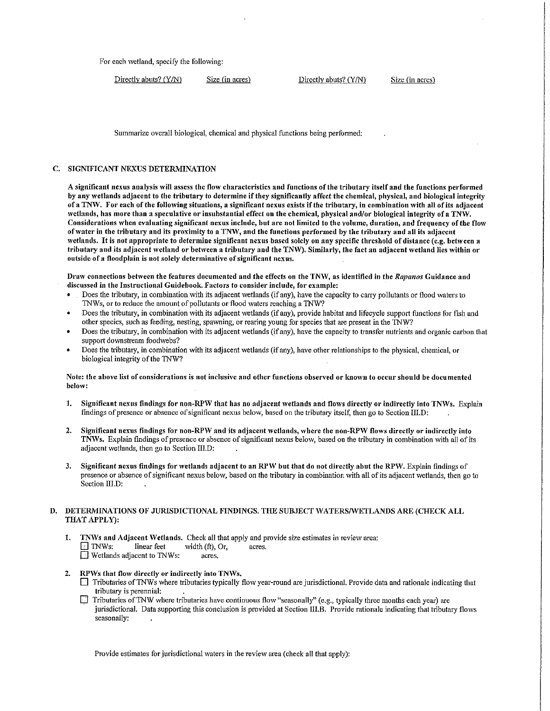For each wetland, specify the following:

Directly abuts? (Y/N) Size (in acres) Directly abuts? (Y/N) Size (in acres)

Summarize overall biological, chemical and physical functions being performed:

# C. SIGNIFICANT NEXUS DETERMINATION

A significant nexus analysis will assess the flow characteristics and functions of the tributary itself and the functions performed by any wetlands adjacent to the tributary to determine if they significantly affect the chemical, physical, and biological integrity of a TNW. For each of the following situations, a significant nexus exists if the tributary, in combination with all of its adjacent wetlands, has more than a speculative or insubstantial effect on the chemical, physical and/or biological integrity of a TNW. Considerations \Vhen evaluating significant nexus include, but are not limited to the volume, duration, and frequency of the flow of water in the tributary and its proximity to a TNW, and the functions performed by the tributary and all its adjacent wetlands. It is not appropriate to determine significant nexus based solely on any specific threshold of distance (e.g. betiveen a tributary and its adjacent wetland or between a tributary and the TNW). Similarly, the fact an adjacent wetland lies within or outside of a floodplain is not solely determinative of significant nexus.

Dra\V connections between the features documented and the effects on the TN\V, as identified in the *Rapanos* Guidance and discussed in the Instructional Guidebook. Factors to consider include, for example:

- Does the tributary, in combination with its adjacent wetlands (if any), have the capacity to carry pollutants or flood waters to TNWs, or to reduce the amount of pollutants or flood waters reaching a TNW?
- Does the tributary, in combination with its adjacent wetlands (if any), provide habitat and lifecycle support functions for fish and other species, such as feeding, nesting, spawning, or rearing young for species that are present in the TNW?
- Does the tributary, in combination with its adjacent wetlands (if any), have the capacity to transfer nutrients and organic carbon that support downstream foodwebs?
- Does the tributary, in combination with its adjacent wetlands (if any), have other relationships to the physical, chemical, or biological integrity of the TNW?

Note: the above list of considerations is not inclusive and other functions observed or known to occur should be documented below:

- 1. Significant nexus findings for non-RPW that has no adjacent wetlands and flows directly or indirectly into TNWs. Explain findings of presence or absence of significant nexus below, based on the tributary itself, then go to Section III.D:
- 2. Significant nexus findings for non-RPW and its adjacent wetlands, where the non-RPW flows directly or indirectly into TNWs. Explain findings of presence or absence of significant nexus below, based on the tributary in combination with all of its adjacent wetlands, then go to Section  $III.D$ :
- 3. Significant nexus findings for wetlands adjacent to an RPW but that do not directly abut the RPW. Explain findings of presence or absence of significant nexus below, based on the tributary in combination with all of its adjacent wetlands, then go to Section III.D:

# D. DETERMINATIONS OF JURISDICTIONAL FINDINGS. THE SUBJECT WATERS/WETLANDS ARE (CHECK ALL THAT APPLY):

- 1. TNWs and Adjacent Wetlands. Check all that apply and provide size estimates in review area:<br> $\boxed{\odot}$  TNWs: linear feet width (ft). Or, acres. width (ft), Or, acres.<br>acres.  $\Box$  Wetlands adjacent to TNWs:
- 2. RPWs that flow directly or indirectly into TNWs.
	- $\Box$  Tributaries of TNWs where tributaries typically flow year-round are jurisdictional. Provide data and rationale indicating that tributary is perennial:
	- $\Box$  Tributaries of TNW where tributaries have continuous flow "seasonally" (e.g., typically three months each year) are jurisdictional. Data supporting this conclusion is provided at Section III.B. Provide rationale indicating that tributary flows seasonally:

Provide estimates for jurisdictional waters in the review area (check all that apply):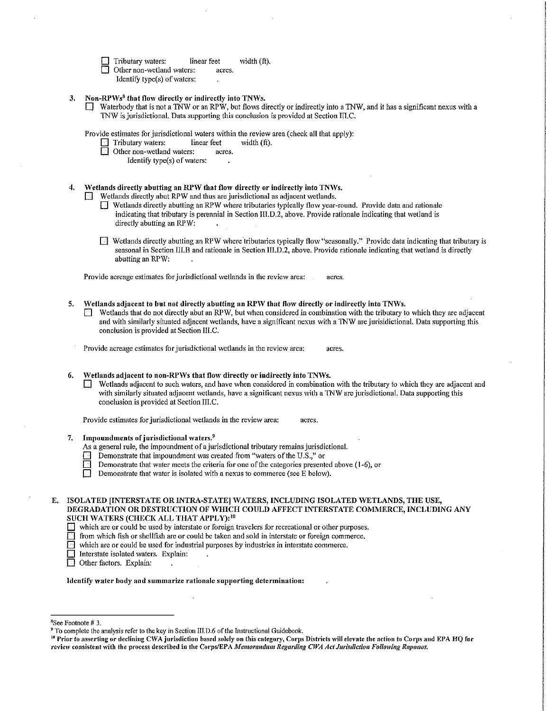Tributary waters: linear feet width (ft).

- Other non-wetland waters: acres. Identify type(s) of waters:
- 3. Non-RP $Ws<sup>8</sup>$  that flow directly or indirectly into TNWs.
	- Waterbody that is not a TNW or an RPW, but flows directly or indirectly into a TNW, and it has a significant nexus with a 1NW is jurisdictional. Data supporting this conclusion is provided at Section III.C.

Provide estimates for jurisdictional waters within the review area (check all that apply):<br>  $\Box$  Tributary waters: linear feet width (ft).

- $\Box$  Tributary waters:<br> $\Box$  Other non-wetland
- Other non-wetland waters: acres.
	- Identify type(s) of waters:

# 4. Wetlands directly abutting an RPW that flow directly or indirectly into TNWs.

Wetlands directly abut RPW and thus are jurisdictional as adjacent wetlands.

- $\Box$  Wetlands directly abutting an RPW where tributaries typically flow year-round. Provide data and rationale indicating that tributary is perennial in Section III.D.2, above. Provide rationale indicating that wetland is directly abutting an RPW:
- $\Box$  Wetlands directly abutting an RPW where tributaries typically flow "seasonally." Provide data indicating that tributary is seasonal in Section 111.B and rationale in Section 111.D.2, above. Provide rationale indicating that wetland is directly abutting an RPW:

Provide acreage estimates for jurisdictional wetlands in the review area: acres.

- 5. Wetlands adjacent to but not directly abutting an RPW that flow directly or indirectly into TNWs.
	- $\Box$  Wetlands that do not directly abut an RPW, but when considered in combination with the tributary to which they are adjacent and with similarly situated adjacent wetlands, have a significant nexus with a TNW are jurisidictional. Data supporting this conclusion is provided at Section III.C.

Provide acreage estimates for jurisdictional wetlands in the review area: acres.

### Wetlands adjacent to non-RPWs that flow directly or indirectly into TNWs.

D Wetlands adjacent to such waters, and have when considered in combination with the tributary to which they are adjacent and with similarly situated adjacent wetlands, have a significant nexus with a TNW are jurisdictional. Data supporting this conclusion is provided at Section III.C.

Provide estimates for jurisdictional wetlands in the review area: acres.

7. Impoundments of jurisdictional waters.9

As a general rule, the impoundment of a jurisdictional tributary remains jurisdictional.

- $\Box$  Demonstrate that impoundment was created from "waters of the U.S.," or
- **EXECUTE:** Demonstrate that water meets the criteria for one of the categories presented above (1-6), or **Demonstrate that water is isolated with a nexus to commerce (see E below).**
- Demonstrate that water is isolated with a nexus to commerce (see E below).

E. ISOLATED [INTERSTATE OR INTRA-STATE] WATERS, INCLUDING ISOLATED WETLANDS, THE USE, DEGRADATION OR DESTRUCTION OF WHICH COULD AFFECT INTERSTATE COMMERCE, INCLUDING ANY SUCH WATERS (CHECK ALL THAT APPLY):<sup>10</sup>

- $\Box$  which are or could be used by interstate or foreign travelers for recreational or other purposes,  $\Box$  from which fish or shellfish are or could be taken and sold in interstate or foreign commerce.
- from which fish or shellfish are or could be taken and sold in interstate or foreign commerce.

 $\Box$  which are or could be used for industrial purposes by industries in interstate commerce.

- D Interstate isolated waters. Explain:
- Other factors. Explain:

#### Identify water body and summarize rationale supporting determination:

<sup>&</sup>lt;sup>8</sup>See Footnote #3.

<sup>&</sup>lt;sup>9</sup> To complete the analysis refer to the key in Section III,D,6 of the Instructional Guidebook.<br><sup>10</sup> Prior to asserting or declining CWA jurisdiction based solely on this category, Corps Districts will elevate the action review consistent with the process described in the Corps/EPA Memorandum Regarding CWA Act Jurisdiction Following Rapanos.